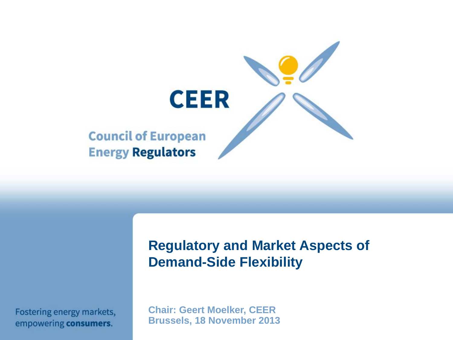

Fostering energy markets, empowering consumers.

**Regulatory and Market Aspects of Demand-Side Flexibility**

**Chair: Geert Moelker, CEER Brussels, 18 November 2013**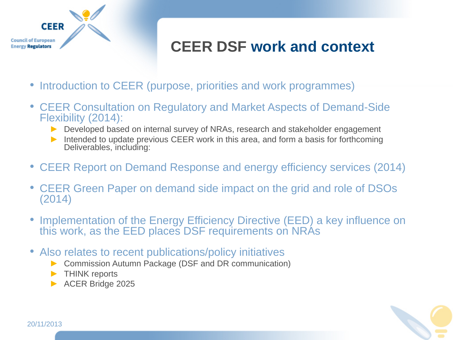

#### **CEER DSF work and context**

- Introduction to CEER (purpose, priorities and work programmes)
- CEER Consultation on Regulatory and Market Aspects of Demand-Side Flexibility (2014):
	- ► Developed based on internal survey of NRAs, research and stakeholder engagement
	- ▶ Intended to update previous CEER work in this area, and form a basis for forthcoming Deliverables, including:
- CEER Report on Demand Response and energy efficiency services (2014)
- CEER Green Paper on demand side impact on the grid and role of DSOs (2014)
- Implementation of the Energy Efficiency Directive (EED) a key influence on this work, as the EED places DSF requirements on NRAs
- Also relates to recent publications/policy initiatives
	- Commission Autumn Package (DSF and DR communication)
	- THINK reports
	- ► ACER Bridge 2025

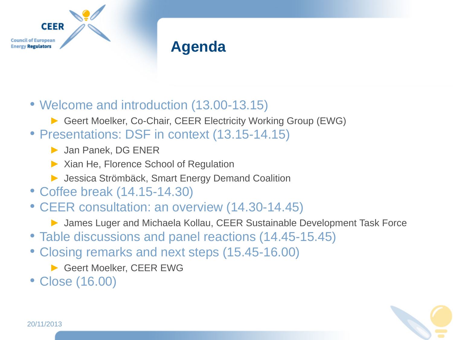

#### **Agenda**

- Welcome and introduction (13.00-13.15)
	- ► Geert Moelker, Co-Chair, CEER Electricity Working Group (EWG)
- Presentations: DSF in context (13.15-14.15)
	- ► Jan Panek, DG ENER
	- ► Xian He, Florence School of Regulation
	- ▶ Jessica Strömbäck, Smart Energy Demand Coalition
- Coffee break (14.15-14.30)
- CEER consultation: an overview (14.30-14.45)
	- ► James Luger and Michaela Kollau, CEER Sustainable Development Task Force
- Table discussions and panel reactions (14.45-15.45)
- Closing remarks and next steps (15.45-16.00)
	- ▶ Geert Moelker, CEER EWG
- Close (16.00)

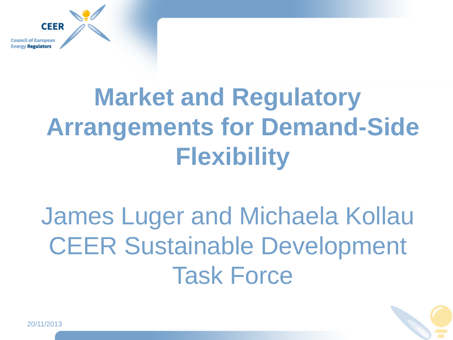**Council of European** rgy **Regulators** 

**CEER** 

# **Market and Regulatory Arrangements for Demand-Side Flexibility**

## James Luger and Michaela Kollau CEER Sustainable Development Task Force

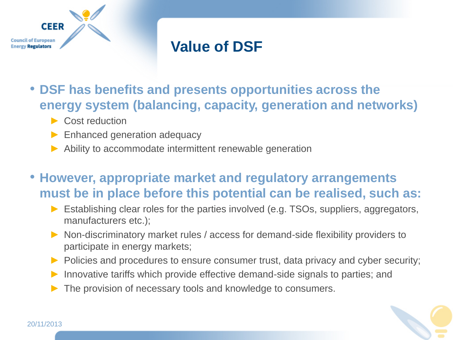

#### **Value of DSF**

- **DSF has benefits and presents opportunities across the energy system (balancing, capacity, generation and networks)**
	- ► Cost reduction
	- ▶ Enhanced generation adequacy
	- ► Ability to accommodate intermittent renewable generation
- **However, appropriate market and regulatory arrangements must be in place before this potential can be realised, such as:**
	- Establishing clear roles for the parties involved (e.g. TSOs, suppliers, aggregators, manufacturers etc.);
	- ► Non-discriminatory market rules / access for demand-side flexibility providers to participate in energy markets;
	- ► Policies and procedures to ensure consumer trust, data privacy and cyber security;
	- Innovative tariffs which provide effective demand-side signals to parties; and
	- The provision of necessary tools and knowledge to consumers.

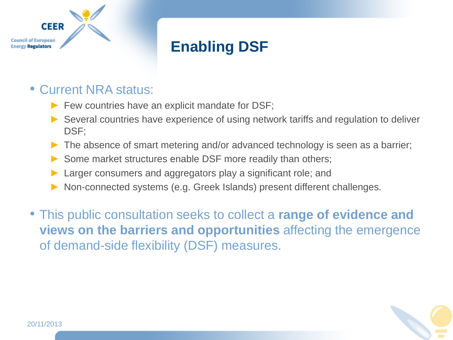

#### **Enabling DSF**

#### • Current NRA status:

- ► Few countries have an explicit mandate for DSF;
- ► Several countries have experience of using network tariffs and regulation to deliver DSF;
- The absence of smart metering and/or advanced technology is seen as a barrier;
- ▶ Some market structures enable DSF more readily than others;
- Larger consumers and aggregators play a significant role; and
- Non-connected systems (e.g. Greek Islands) present different challenges.
- This public consultation seeks to collect a **range of evidence and views on the barriers and opportunities** affecting the emergence of demand-side flexibility (DSF) measures.

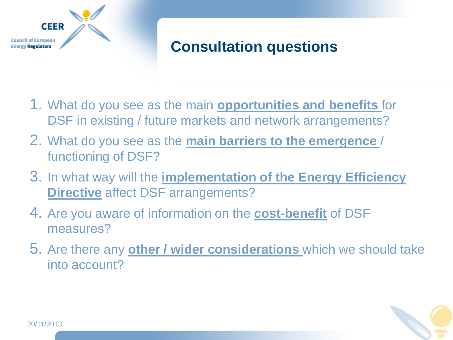

#### **Consultation questions**

- 1. What do you see as the main **opportunities and benefits** for DSF in existing / future markets and network arrangements?
- 2. What do you see as the **main barriers to the emergence** / functioning of DSF?
- 3. In what way will the **implementation of the Energy Efficiency Directive** affect DSF arrangements?
- 4. Are you aware of information on the **cost-benefit** of DSF measures?
- 5. Are there any **other / wider considerations** which we should take into account?

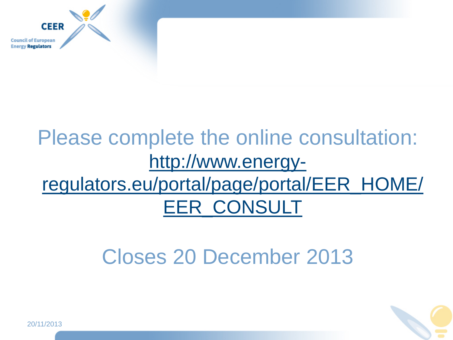

### Please complete the online consultation: [http://www.energy](http://www.energy-regulators.eu/portal/page/portal/EER_HOME/EER_CONSULT)[regulators.eu/portal/page/portal/EER\\_HOME/](http://www.energy-regulators.eu/portal/page/portal/EER_HOME/EER_CONSULT) [EER\\_CONSULT](http://www.energy-regulators.eu/portal/page/portal/EER_HOME/EER_CONSULT)

## Closes 20 December 2013